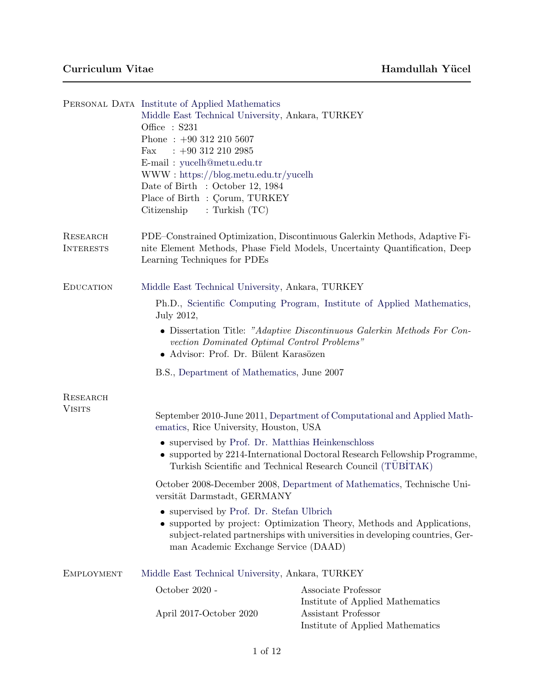|                              | PERSONAL DATA Institute of Applied Mathematics<br>Middle East Technical University, Ankara, TURKEY<br>Office $: S231$<br>Phone: $+90$ 312 210 5607<br>$: +903122102985$<br>Fax<br>E-mail: yucelh@metu.edu.tr<br>$WWW:$ https://blog.metu.edu.tr/yucelh<br>Date of Birth : October 12, 1984<br>Place of Birth : Corum, TURKEY<br>Citizenship<br>: Turkish $(TC)$ |                                                                                                                                                          |  |
|------------------------------|-----------------------------------------------------------------------------------------------------------------------------------------------------------------------------------------------------------------------------------------------------------------------------------------------------------------------------------------------------------------|----------------------------------------------------------------------------------------------------------------------------------------------------------|--|
| RESEARCH<br><b>INTERESTS</b> | Learning Techniques for PDEs                                                                                                                                                                                                                                                                                                                                    | PDE–Constrained Optimization, Discontinuous Galerkin Methods, Adaptive Fi-<br>nite Element Methods, Phase Field Models, Uncertainty Quantification, Deep |  |
| <b>EDUCATION</b>             | Middle East Technical University, Ankara, TURKEY                                                                                                                                                                                                                                                                                                                |                                                                                                                                                          |  |
|                              | Ph.D., Scientific Computing Program, Institute of Applied Mathematics,<br>July 2012,                                                                                                                                                                                                                                                                            |                                                                                                                                                          |  |
|                              | • Dissertation Title: "Adaptive Discontinuous Galerkin Methods For Con-<br>vection Dominated Optimal Control Problems"<br>• Advisor: Prof. Dr. Bülent Karasözen                                                                                                                                                                                                 |                                                                                                                                                          |  |
|                              | B.S., Department of Mathematics, June 2007                                                                                                                                                                                                                                                                                                                      |                                                                                                                                                          |  |
| RESEARCH                     |                                                                                                                                                                                                                                                                                                                                                                 |                                                                                                                                                          |  |
| <b>VISITS</b>                | September 2010-June 2011, Department of Computational and Applied Math-<br>ematics, Rice University, Houston, USA                                                                                                                                                                                                                                               |                                                                                                                                                          |  |
|                              | • supervised by Prof. Dr. Matthias Heinkenschloss<br>• supported by 2214-International Doctoral Research Fellowship Programme,<br>Turkish Scientific and Technical Research Council (TÜBİTAK)                                                                                                                                                                   |                                                                                                                                                          |  |
|                              | October 2008-December 2008, Department of Mathematics, Technische Uni-<br>versität Darmstadt, GERMANY                                                                                                                                                                                                                                                           |                                                                                                                                                          |  |
|                              | • supervised by Prof. Dr. Stefan Ulbrich<br>• supported by project: Optimization Theory, Methods and Applications,<br>subject-related partnerships with universities in developing countries, Ger-<br>man Academic Exchange Service (DAAD)                                                                                                                      |                                                                                                                                                          |  |
| <b>EMPLOYMENT</b>            | Middle East Technical University, Ankara, TURKEY                                                                                                                                                                                                                                                                                                                |                                                                                                                                                          |  |
|                              | October 2020 -                                                                                                                                                                                                                                                                                                                                                  | Associate Professor                                                                                                                                      |  |
|                              | April 2017-October 2020                                                                                                                                                                                                                                                                                                                                         | Institute of Applied Mathematics<br>Assistant Professor<br>Institute of Applied Mathematics                                                              |  |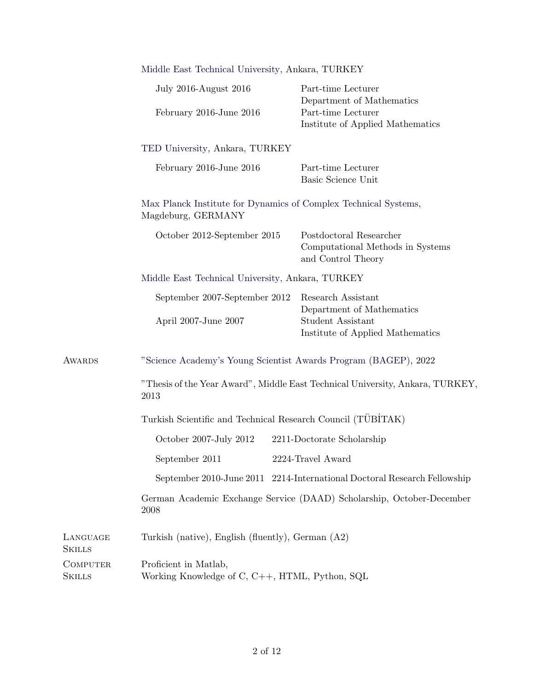|                                  | Middle East Technical University, Ankara, TURKEY                                      |                                                                                   |  |
|----------------------------------|---------------------------------------------------------------------------------------|-----------------------------------------------------------------------------------|--|
|                                  | <b>July 2016-August 2016</b>                                                          | Part-time Lecturer<br>Department of Mathematics                                   |  |
|                                  | February 2016-June 2016                                                               | Part-time Lecturer<br>Institute of Applied Mathematics                            |  |
|                                  | TED University, Ankara, TURKEY                                                        |                                                                                   |  |
|                                  | February 2016-June 2016                                                               | Part-time Lecturer<br>Basic Science Unit                                          |  |
|                                  | Max Planck Institute for Dynamics of Complex Technical Systems,<br>Magdeburg, GERMANY |                                                                                   |  |
|                                  | October 2012-September 2015                                                           | Postdoctoral Researcher<br>Computational Methods in Systems<br>and Control Theory |  |
|                                  | Middle East Technical University, Ankara, TURKEY                                      |                                                                                   |  |
|                                  | September 2007-September 2012                                                         | Research Assistant<br>Department of Mathematics                                   |  |
|                                  | April 2007-June 2007                                                                  | Student Assistant<br>Institute of Applied Mathematics                             |  |
| AWARDS                           | "Science Academy's Young Scientist Awards Program (BAGEP), 2022                       |                                                                                   |  |
|                                  | "Thesis of the Year Award", Middle East Technical University, Ankara, TURKEY,<br>2013 |                                                                                   |  |
|                                  | Turkish Scientific and Technical Research Council (TÜBİTAK)                           |                                                                                   |  |
|                                  | October 2007-July 2012                                                                | 2211-Doctorate Scholarship                                                        |  |
|                                  | September 2011                                                                        | 2224-Travel Award                                                                 |  |
|                                  |                                                                                       | September 2010-June 2011 2214-International Doctoral Research Fellowship          |  |
|                                  | German Academic Exchange Service (DAAD) Scholarship, October-December<br>2008         |                                                                                   |  |
| LANGUAGE<br><b>SKILLS</b>        | Turkish (native), English (fluently), German $(A2)$                                   |                                                                                   |  |
| <b>COMPUTER</b><br><b>SKILLS</b> | Proficient in Matlab,<br>Working Knowledge of C, C++, HTML, Python, SQL               |                                                                                   |  |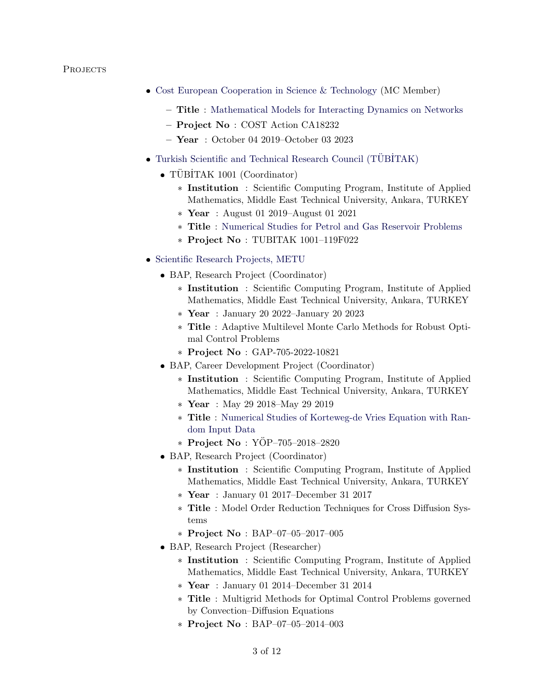## PROJECTS

- [Cost European Cooperation in Science & Technology](https://www.cost.eu/) (MC Member)
	- Title : [Mathematical Models for Interacting Dynamics on Networks](https://www.cost.eu/actions/CA18232/#tabs|Name:overview)
	- Project No : COST Action CA18232
	- Year : October 04 2019–October 03 2023
- $\bullet$  Turkish Scientific and Technical Research Council (TÜBİTAK)
	- $\bullet$  TÜBİTAK 1001 (Coordinator)
		- \* Institution : Scientific Computing Program, Institute of Applied Mathematics, Middle East Technical University, Ankara, TURKEY
		- \* Year : August 01 2019–August 01 2021
		- \* Title : [Numerical Studies for Petrol and Gas Reservoir Problems](https://iam.metu.edu.tr/projects/numerical-studies-petrol-and-gas-reservoir-problems)
		- \* Project No : TUBITAK 1001–119F022
- [Scientific Research Projects, METU](https://bap.metu.edu.tr/tr)
	- BAP, Research Project (Coordinator)
		- \* Institution : Scientific Computing Program, Institute of Applied Mathematics, Middle East Technical University, Ankara, TURKEY
		- \* Year : January 20 2022–January 20 2023
		- \* Title : Adaptive Multilevel Monte Carlo Methods for Robust Optimal Control Problems
		- \* Project No : GAP-705-2022-10821
	- BAP, Career Development Project (Coordinator)
		- \* Institution : Scientific Computing Program, Institute of Applied Mathematics, Middle East Technical University, Ankara, TURKEY
		- \* Year : May 29 2018–May 29 2019
		- \* Title : [Numerical Studies of Korteweg-de Vries Equation with Ran](https://iam.metu.edu.tr/projects/numerical-studies-korteweg-de-vries-equation-random-input-data)[dom Input Data](https://iam.metu.edu.tr/projects/numerical-studies-korteweg-de-vries-equation-random-input-data)
		- \* Project No :  $YOP-705-2018-2820$
	- BAP, Research Project (Coordinator)
		- \* Institution : Scientific Computing Program, Institute of Applied Mathematics, Middle East Technical University, Ankara, TURKEY
		- \* Year : January 01 2017–December 31 2017
		- \* Title : Model Order Reduction Techniques for Cross Diffusion Systems
		- \* Project No : BAP–07–05–2017–005
	- BAP, Research Project (Researcher)
		- \* Institution : Scientific Computing Program, Institute of Applied Mathematics, Middle East Technical University, Ankara, TURKEY
		- \* Year : January 01 2014–December 31 2014
		- \* Title : Multigrid Methods for Optimal Control Problems governed by Convection–Diffusion Equations
		- \* Project No : BAP–07–05–2014–003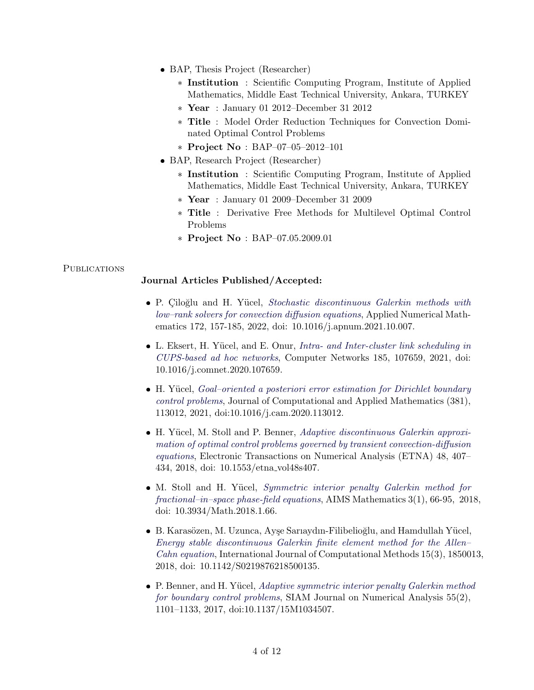- BAP, Thesis Project (Researcher)
	- \* Institution : Scientific Computing Program, Institute of Applied Mathematics, Middle East Technical University, Ankara, TURKEY
	- \* Year : January 01 2012–December 31 2012
	- \* Title : Model Order Reduction Techniques for Convection Dominated Optimal Control Problems
	- \* Project No : BAP–07–05–2012–101
- BAP, Research Project (Researcher)
	- \* Institution : Scientific Computing Program, Institute of Applied Mathematics, Middle East Technical University, Ankara, TURKEY
	- \* Year : January 01 2009–December 31 2009
	- \* Title : Derivative Free Methods for Multilevel Optimal Control Problems
	- \* Project No : BAP–07.05.2009.01

#### **PUBLICATIONS**

#### Journal Articles Published/Accepted:

- P. Çiloğlu and H. Yücel, [Stochastic discontinuous Galerkin methods with](https://doi.org/10.1016/j.apnum.2021.10.007) [low–rank solvers for convection diffusion equations](https://doi.org/10.1016/j.apnum.2021.10.007), Applied Numerical Mathematics 172, 157-185, 2022, doi: 10.1016/j.apnum.2021.10.007.
- L. Eksert, H. Yücel, and E. Onur, [Intra- and Inter-cluster link scheduling in](https://www.sciencedirect.com/science/article/pii/S1389128620312718) [CUPS-based ad hoc networks](https://www.sciencedirect.com/science/article/pii/S1389128620312718), Computer Networks 185, 107659, 2021, doi: 10.1016/j.comnet.2020.107659.
- H. Yücel, *Goal-oriented a posteriori error estimation for Dirichlet boundary* [control problems](https://www.sciencedirect.com/science/article/pii/S0377042720303034?dgcid=author), Journal of Computational and Applied Mathematics (381), 113012, 2021, doi:10.1016/j.cam.2020.113012.
- H. Yücel, M. Stoll and P. Benner, [Adaptive discontinuous Galerkin approxi](http://epub.oeaw.ac.at/?arp=0x003a12c5)[mation of optimal control problems governed by transient convection-diffusion](http://epub.oeaw.ac.at/?arp=0x003a12c5) [equations](http://epub.oeaw.ac.at/?arp=0x003a12c5), Electronic Transactions on Numerical Analysis (ETNA) 48, 407– 434, 2018, doi: 10.1553/etna vol48s407.
- M. Stoll and H. Yücel, [Symmetric interior penalty Galerkin method for](https://www.aimspress.com/fileOther/PDF/Math/Math-03-00066.pdf) [fractional–in–space phase-field equations](https://www.aimspress.com/fileOther/PDF/Math/Math-03-00066.pdf), AIMS Mathematics 3(1), 66-95, 2018, doi: 10.3934/Math.2018.1.66.
- B. Karasözen, M. Uzunca, Ayşe Sarıaydın-Filibelioğlu, and Hamdullah Yücel, [Energy stable discontinuous Galerkin finite element method for the Allen–](http://www.worldscientific.com/doi/abs/10.1142/S0219876218500135) [Cahn equation](http://www.worldscientific.com/doi/abs/10.1142/S0219876218500135), International Journal of Computational Methods 15(3), 1850013, 2018, doi: 10.1142/S0219876218500135.
- P. Benner, and H. Yücel, [Adaptive symmetric interior penalty Galerkin method](http://epubs.siam.org/doi/abs/10.1137/15M1034507) [for boundary control problems](http://epubs.siam.org/doi/abs/10.1137/15M1034507), SIAM Journal on Numerical Analysis 55(2), 1101–1133, 2017, doi:10.1137/15M1034507.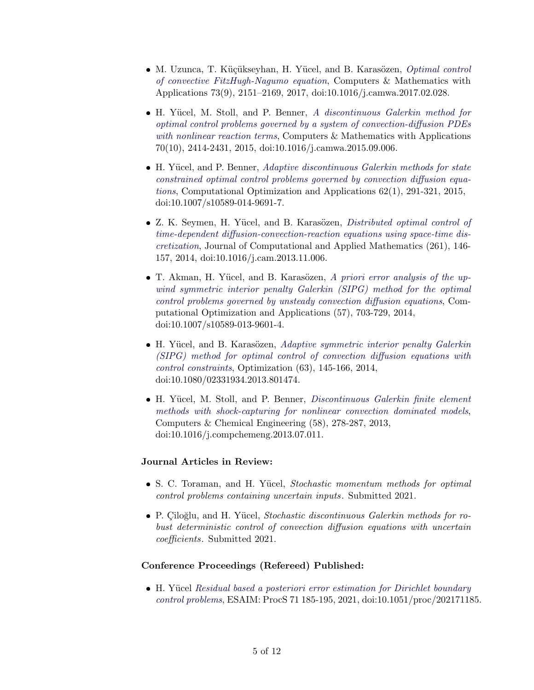- M. Uzunca, T. Küçükseyhan, H. Yücel, and B. Karasözen, [Optimal control](http://www.sciencedirect.com/science/article/pii/S0898122117301074) [of convective FitzHugh-Nagumo equation](http://www.sciencedirect.com/science/article/pii/S0898122117301074), Computers & Mathematics with Applications 73(9), 2151–2169, 2017, doi:10.1016/j.camwa.2017.02.028.
- H. Yücel, M. Stoll, and P. Benner, [A discontinuous Galerkin method for](http://www.sciencedirect.com/science/article/pii/S0898122115004204) [optimal control problems governed by a system of convection-diffusion PDEs](http://www.sciencedirect.com/science/article/pii/S0898122115004204) [with nonlinear reaction terms](http://www.sciencedirect.com/science/article/pii/S0898122115004204), Computers & Mathematics with Applications 70(10), 2414-2431, 2015, doi:10.1016/j.camwa.2015.09.006.
- H. Yücel, and P. Benner, [Adaptive discontinuous Galerkin methods for state](http://link.springer.com/article/10.1007/s10589-014-9691-7) [constrained optimal control problems governed by convection diffusion equa](http://link.springer.com/article/10.1007/s10589-014-9691-7)[tions](http://link.springer.com/article/10.1007/s10589-014-9691-7), Computational Optimization and Applications 62(1), 291-321, 2015, doi:10.1007/s10589-014-9691-7.
- Z. K. Seymen, H. Yücel, and B. Karasözen, *[Distributed optimal control of](http://www.sciencedirect.com/science/article/pii/S0377042713006250)* [time-dependent diffusion-convection-reaction equations using space-time dis](http://www.sciencedirect.com/science/article/pii/S0377042713006250)[cretization](http://www.sciencedirect.com/science/article/pii/S0377042713006250), Journal of Computational and Applied Mathematics (261), 146- 157, 2014, doi:10.1016/j.cam.2013.11.006.
- T. Akman, H. Yücel, and B. Karasözen, [A priori error analysis of the up](http://link.springer.com/article/10.1007/s10589-013-9601-4)[wind symmetric interior penalty Galerkin \(SIPG\) method for the optimal](http://link.springer.com/article/10.1007/s10589-013-9601-4) [control problems governed by unsteady convection diffusion equations](http://link.springer.com/article/10.1007/s10589-013-9601-4), Computational Optimization and Applications (57), 703-729, 2014, doi:10.1007/s10589-013-9601-4.
- H. Yücel, and B. Karasözen, [Adaptive symmetric interior penalty Galerkin](http://www.tandfonline.com/doi/abs/10.1080/02331934.2013.801474) [\(SIPG\) method for optimal control of convection diffusion equations with](http://www.tandfonline.com/doi/abs/10.1080/02331934.2013.801474) [control constraints](http://www.tandfonline.com/doi/abs/10.1080/02331934.2013.801474), Optimization (63), 145-166, 2014, doi:10.1080/02331934.2013.801474.
- H. Yücel, M. Stoll, and P. Benner, *[Discontinuous Galerkin finite element](http://dx.doi.org/10.1016/j.compchemeng.2013.07.011)* [methods with shock-capturing for nonlinear convection dominated models](http://dx.doi.org/10.1016/j.compchemeng.2013.07.011), Computers & Chemical Engineering (58), 278-287, 2013, doi:10.1016/j.compchemeng.2013.07.011.

## Journal Articles in Review:

- S. C. Toraman, and H. Yücel, Stochastic momentum methods for optimal control problems containing uncertain inputs. Submitted 2021.
- P. Çiloğlu, and H. Yücel, Stochastic discontinuous Galerkin methods for robust deterministic control of convection diffusion equations with uncertain coefficients. Submitted 2021.

### Conference Proceedings (Refereed) Published:

■ H. Yücel [Residual based a posteriori error estimation for Dirichlet boundary](https://doi.org/10.1051/proc/202171185) [control problems](https://doi.org/10.1051/proc/202171185), ESAIM: ProcS 71 185-195, 2021, doi:10.1051/proc/202171185.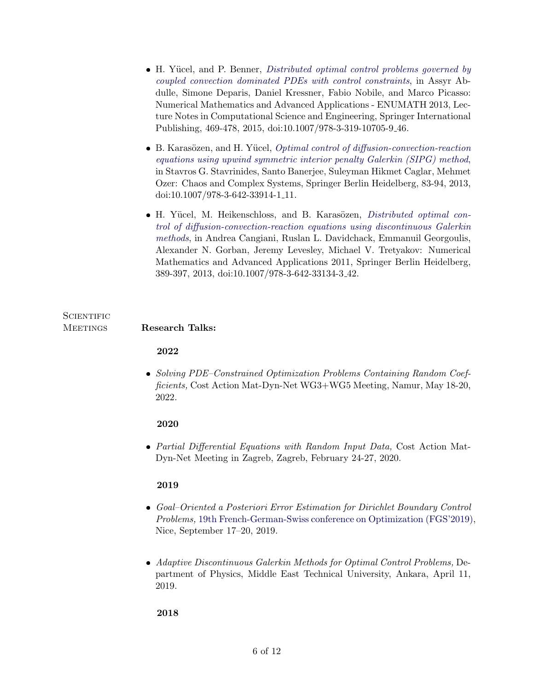- H. Yücel, and P. Benner, *[Distributed optimal control problems governed by](http://link.springer.com/chapter/10.1007/978-3-319-10705-9_46)* [coupled convection dominated PDEs with control constraints](http://link.springer.com/chapter/10.1007/978-3-319-10705-9_46), in Assyr Abdulle, Simone Deparis, Daniel Kressner, Fabio Nobile, and Marco Picasso: Numerical Mathematics and Advanced Applications - ENUMATH 2013, Lecture Notes in Computational Science and Engineering, Springer International Publishing, 469-478, 2015, doi:10.1007/978-3-319-10705-9 46.
- B. Karasözen, and H. Yücel, [Optimal control of diffusion-convection-reaction](http://link.springer.com/chapter/10.1007/978-3-642-33914-1_11) [equations using upwind symmetric interior penalty Galerkin \(SIPG\) method](http://link.springer.com/chapter/10.1007/978-3-642-33914-1_11), in Stavros G. Stavrinides, Santo Banerjee, Suleyman Hikmet Caglar, Mehmet Ozer: Chaos and Complex Systems, Springer Berlin Heidelberg, 83-94, 2013, doi:10.1007/978-3-642-33914-1 11.
- $\bullet$  H. Yücel, M. Heikenschloss, and B. Karasözen, *[Distributed optimal con](https://link.springer.com/chapter/10.1007/978-3-642-33134-3_42)*[trol of diffusion-convection-reaction equations using discontinuous Galerkin](https://link.springer.com/chapter/10.1007/978-3-642-33134-3_42) [methods](https://link.springer.com/chapter/10.1007/978-3-642-33134-3_42), in Andrea Cangiani, Ruslan L. Davidchack, Emmanuil Georgoulis, Alexander N. Gorban, Jeremy Levesley, Michael V. Tretyakov: Numerical Mathematics and Advanced Applications 2011, Springer Berlin Heidelberg, 389-397, 2013, doi:10.1007/978-3-642-33134-3 42.

## **SCIENTIFIC** MEETINGS Research Talks:

## 2022

 Solving PDE–Constrained Optimization Problems Containing Random Coefficients, Cost Action Mat-Dyn-Net WG3+WG5 Meeting, Namur, May 18-20, 2022.

# 2020

 Partial Differential Equations with Random Input Data, Cost Action Mat-Dyn-Net Meeting in Zagreb, Zagreb, February 24-27, 2020.

# 2019

- Goal–Oriented a Posteriori Error Estimation for Dirichlet Boundary Control Problems, [19th French-German-Swiss conference on Optimization \(FGS'2019\),](https://fgs-2019.sciencesconf.org/) Nice, September 17–20, 2019.
- Adaptive Discontinuous Galerkin Methods for Optimal Control Problems, Department of Physics, Middle East Technical University, Ankara, April 11, 2019.

## 2018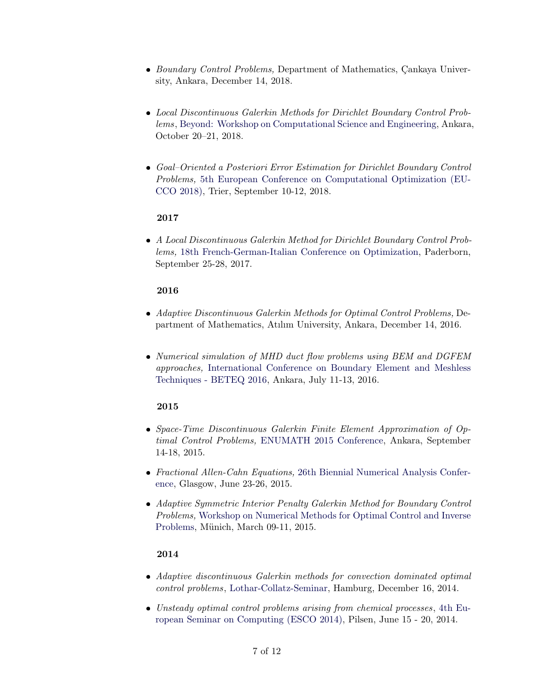- Boundary Control Problems, Department of Mathematics, Çankaya University, Ankara, December 14, 2018.
- Local Discontinuous Galerkin Methods for Dirichlet Boundary Control Problems, [Beyond: Workshop on Computational Science and Engineering,](http://files.iam.metu.edu.tr/workshop_cse/) Ankara, October 20–21, 2018.
- Goal–Oriented a Posteriori Error Estimation for Dirichlet Boundary Control Problems, [5th European Conference on Computational Optimization \(EU-](https://alop.uni-trier.de/eucco2018/)[CCO 2018\),](https://alop.uni-trier.de/eucco2018/) Trier, September 10-12, 2018.

## 2017

 A Local Discontinuous Galerkin Method for Dirichlet Boundary Control Problems, [18th French-German-Italian Conference on Optimization,](https://math.uni-paderborn.de/ag/mathematik-und-ihre-anwendungen/fgi-2017/) Paderborn, September 25-28, 2017.

## 2016

- Adaptive Discontinuous Galerkin Methods for Optimal Control Problems, Department of Mathematics, Atılım University, Ankara, December 14, 2016.
- Numerical simulation of MHD duct flow problems using BEM and DGFEM approaches, [International Conference on Boundary Element and Meshless](http://beteq16.iam.metu.edu.tr/) [Techniques - BETEQ 2016,](http://beteq16.iam.metu.edu.tr/) Ankara, July 11-13, 2016.

# 2015

- Space-Time Discontinuous Galerkin Finite Element Approximation of Optimal Control Problems, [ENUMATH 2015 Conference,](http://enumath2015.iam.metu.edu.tr/) Ankara, September 14-18, 2015.
- Fractional Allen-Cahn Equations, [26th Biennial Numerical Analysis Confer](http://numericalanalysisconference.org.uk/)[ence,](http://numericalanalysisconference.org.uk/) Glasgow, June 23-26, 2015.
- Adaptive Symmetric Interior Penalty Galerkin Method for Boundary Control Problems, [Workshop on Numerical Methods for Optimal Control and Inverse](http://www.ma.tum.de/Mathematik/OCIP2015) [Problems,](http://www.ma.tum.de/Mathematik/OCIP2015) Münich, March 09-11, 2015.

## 2014

- Adaptive discontinuous Galerkin methods for convection dominated optimal control problems, [Lothar-Collatz-Seminar,](http://www.c3s.uni-hamburg.de/en/events/seminar-c3s.html) Hamburg, December 16, 2014.
- Unsteady optimal control problems arising from chemical processes , [4th Eu](http://www.esco2014.femhub.com/)[ropean Seminar on Computing \(ESCO 2014\),](http://www.esco2014.femhub.com/) Pilsen, June 15 - 20, 2014.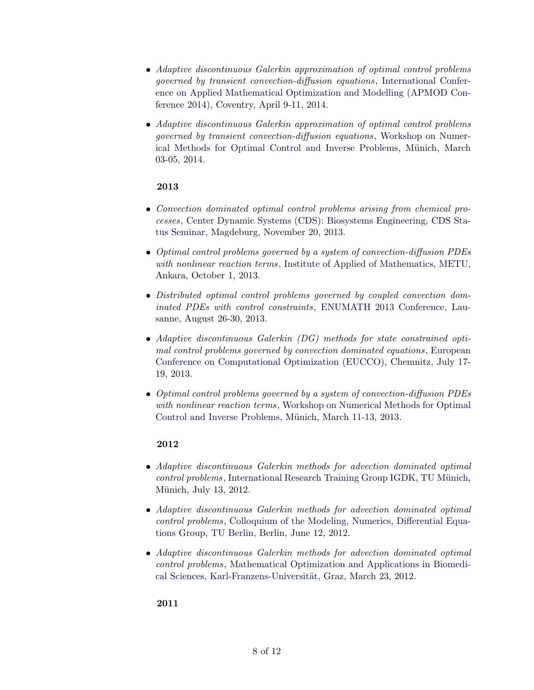- Adaptive discontinuous Galerkin approximation of optimal control problems governed by transient convection-diffusion equations, [International Confer](http://www2.warwick.ac.uk/fac/soc/wbs/conf/apmod2014)[ence on Applied Mathematical Optimization and Modelling \(APMOD Con](http://www2.warwick.ac.uk/fac/soc/wbs/conf/apmod2014)[ference 2014\),](http://www2.warwick.ac.uk/fac/soc/wbs/conf/apmod2014) Coventry, April 9-11, 2014.
- Adaptive discontinuous Galerkin approximation of optimal control problems governed by transient convection-diffusion equations, [Workshop on Numer](http://www.ma.tum.de/Mathematik/OCIP2014)[ical Methods for Optimal Control and Inverse Problems,](http://www.ma.tum.de/Mathematik/OCIP2014) Münich, March 03-05, 2014.

### 2013

- Convection dominated optimal control problems arising from chemical processes, [Center Dynamic Systems \(CDS\): Biosystems Engineering, CDS Sta](http://www.cds.ovgu.de/cds_media/Downloads/ProgrammStatusseminar2013E.pdf)[tus Seminar,](http://www.cds.ovgu.de/cds_media/Downloads/ProgrammStatusseminar2013E.pdf) Magdeburg, November 20, 2013.
- Optimal control problems governed by a system of convection-diffusion PDEs with nonlinear reaction terms, [Institute of Applied of Mathematics, METU,](http://iam.metu.edu.tr/optimal-control-problems-governed-system-convection-diffusion-pdes-nonlinear-reaction-terms) Ankara, October 1, 2013.
- Distributed optimal control problems governed by coupled convection dominated PDEs with control constraints, [ENUMATH 2013 Conference,](http://enumath2013.epfl.ch/) Lausanne, August 26-30, 2013.
- Adaptive discontinuous Galerkin (DG) methods for state constrained optimal control problems governed by convection dominated equations, [European](http://www.tu-chemnitz.de/mathematik/eucco/) [Conference on Computational Optimization \(EUCCO\),](http://www.tu-chemnitz.de/mathematik/eucco/) Chemnitz, July 17- 19, 2013.
- Optimal control problems governed by a system of convection-diffusion PDEs with nonlinear reaction terms, [Workshop on Numerical Methods for Optimal](http://www.ma.tum.de/Mathematik/OCIP2013) [Control and Inverse Problems,](http://www.ma.tum.de/Mathematik/OCIP2013) Münich, March 11-13, 2013.

### 2012

- Adaptive discontinuous Galerkin methods for advection dominated optimal control problems, International Research Training Group IGDK, TU Münich, Münich, July 13, 2012.
- Adaptive discontinuous Galerkin methods for advection dominated optimal control problems, [Colloquium of the Modeling, Numerics, Differential Equa](https://www.math.tu-berlin.de/arbeitsgruppen/ag_modnumdiff/kolloquium/kolloquium_ss_2012/parameter/en/)[tions Group, TU Berlin,](https://www.math.tu-berlin.de/arbeitsgruppen/ag_modnumdiff/kolloquium/kolloquium_ss_2012/parameter/en/) Berlin, June 12, 2012.
- Adaptive discontinuous Galerkin methods for advection dominated optimal control problems, [Mathematical Optimization and Applications in Biomedi](http://math.uni-graz.at/mobis/sfbseminar.html)cal Sciences, Karl-Franzens-Universität, Graz, March 23, 2012.

2011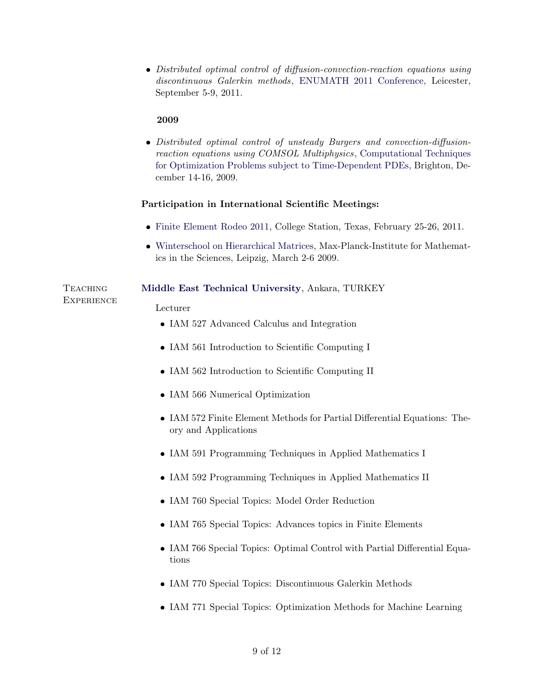Distributed optimal control of diffusion-convection-reaction equations using discontinuous Galerkin methods, [ENUMATH 2011 Conference,](http://www2.le.ac.uk/departments/mathematics/research/enumath2011) Leicester, September 5-9, 2011.

### 2009

 Distributed optimal control of unsteady Burgers and convection-diffusionreaction equations using COMSOL Multiphysics, [Computational Techniques](http://www.maths.sussex.ac.uk/Staff/VS/general.htm) [for Optimization Problems subject to Time-Dependent PDEs,](http://www.maths.sussex.ac.uk/Staff/VS/general.htm) Brighton, December 14-16, 2009.

#### Participation in International Scientific Meetings:

- [Finite Element Rodeo 2011,](http://www.math.tamu.edu/~bonito/Workshops/2011_FEMRodeo/femrodeo_2011.php) College Station, Texas, February 25-26, 2011.
- [Winterschool on Hierarchical Matrices,](http://www.mis.mpg.de/scicomp/winterschool/index2009.html) Max-Planck-Institute for Mathematics in the Sciences, Leipzig, March 2-6 2009.

### Teaching [Middle East Technical University](http://www.metu.edu.tr), Ankara, TURKEY

#### Lecturer

**EXPERIENCE** 

- IAM 527 Advanced Calculus and Integration
- IAM 561 Introduction to Scientific Computing I
- IAM 562 Introduction to Scientific Computing II
- IAM 566 Numerical Optimization
- IAM 572 Finite Element Methods for Partial Differential Equations: Theory and Applications
- IAM 591 Programming Techniques in Applied Mathematics I
- IAM 592 Programming Techniques in Applied Mathematics II
- IAM 760 Special Topics: Model Order Reduction
- IAM 765 Special Topics: Advances topics in Finite Elements
- IAM 766 Special Topics: Optimal Control with Partial Differential Equations
- IAM 770 Special Topics: Discontinuous Galerkin Methods
- IAM 771 Special Topics: Optimization Methods for Machine Learning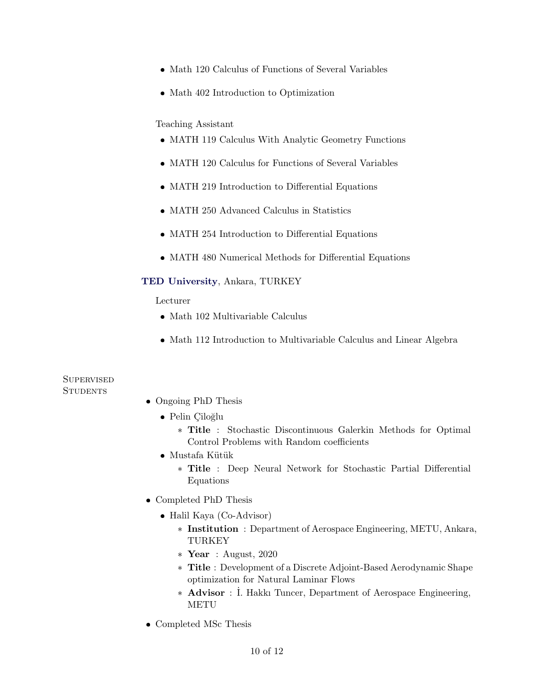- Math 120 Calculus of Functions of Several Variables
- Math 402 Introduction to Optimization

### Teaching Assistant

- MATH 119 Calculus With Analytic Geometry Functions
- MATH 120 Calculus for Functions of Several Variables
- MATH 219 Introduction to Differential Equations
- MATH 250 Advanced Calculus in Statistics
- MATH 254 Introduction to Differential Equations
- MATH 480 Numerical Methods for Differential Equations

#### [TED University](http://www.tedu.edu.tr/en), Ankara, TURKEY

### Lecturer

- Math 102 Multivariable Calculus
- Math 112 Introduction to Multivariable Calculus and Linear Algebra

## **SUPERVISED STUDENTS**

- Ongoing PhD Thesis
	- · Pelin Çiloğlu
		- \* Title : Stochastic Discontinuous Galerkin Methods for Optimal Control Problems with Random coefficients
	- $\bullet$  Mustafa Kütük
		- \* Title : Deep Neural Network for Stochastic Partial Differential Equations
- Completed PhD Thesis
	- Halil Kaya (Co-Advisor)
		- \* Institution : Department of Aerospace Engineering, METU, Ankara, TURKEY
		- \* Year : August,  $2020$
		- \* Title : Development of a Discrete Adjoint-Based Aerodynamic Shape optimization for Natural Laminar Flows
		- \* Advisor : İ. Hakkı Tuncer, Department of Aerospace Engineering, METU
- Completed MSc Thesis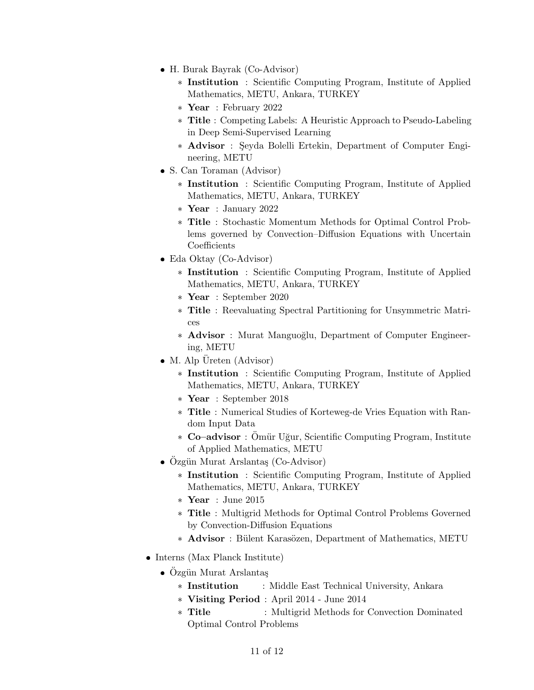- H. Burak Bayrak (Co-Advisor)
	- \* Institution : Scientific Computing Program, Institute of Applied Mathematics, METU, Ankara, TURKEY
	- \* Year : February 2022
	- \* Title : Competing Labels: A Heuristic Approach to Pseudo-Labeling in Deep Semi-Supervised Learning
	- \* Advisor : Şeyda Bolelli Ertekin, Department of Computer Engineering, METU
- S. Can Toraman (Advisor)
	- \* Institution : Scientific Computing Program, Institute of Applied Mathematics, METU, Ankara, TURKEY
	- \* Year : January 2022
	- \* Title : Stochastic Momentum Methods for Optimal Control Problems governed by Convection–Diffusion Equations with Uncertain Coefficients
- Eda Oktay (Co-Advisor)
	- \* Institution : Scientific Computing Program, Institute of Applied Mathematics, METU, Ankara, TURKEY
	- \* Year : September 2020
	- \* Title : Reevaluating Spectral Partitioning for Unsymmetric Matrices
	- \* Advisor : Murat Manguoğlu, Department of Computer Engineering, METU
- M. Alp Üreten (Advisor)
	- \* Institution : Scientific Computing Program, Institute of Applied Mathematics, METU, Ankara, TURKEY
	- \* Year : September 2018
	- \* Title : Numerical Studies of Korteweg-de Vries Equation with Random Input Data
	- \* Co-advisor : Ömür Uğur, Scientific Computing Program, Institute of Applied Mathematics, METU
- Özgün Murat Arslantaş (Co-Advisor)
	- \* Institution : Scientific Computing Program, Institute of Applied Mathematics, METU, Ankara, TURKEY
	- \* Year : June 2015
	- \* Title : Multigrid Methods for Optimal Control Problems Governed by Convection-Diffusion Equations
	- \* Advisor : Bülent Karasözen, Department of Mathematics, METU
- Interns (Max Planck Institute)
	- Özgün Murat Arslantaş
		- \* Institution : Middle East Technical University, Ankara
		- \* Visiting Period : April 2014 June 2014
		- \* Title : Multigrid Methods for Convection Dominated Optimal Control Problems